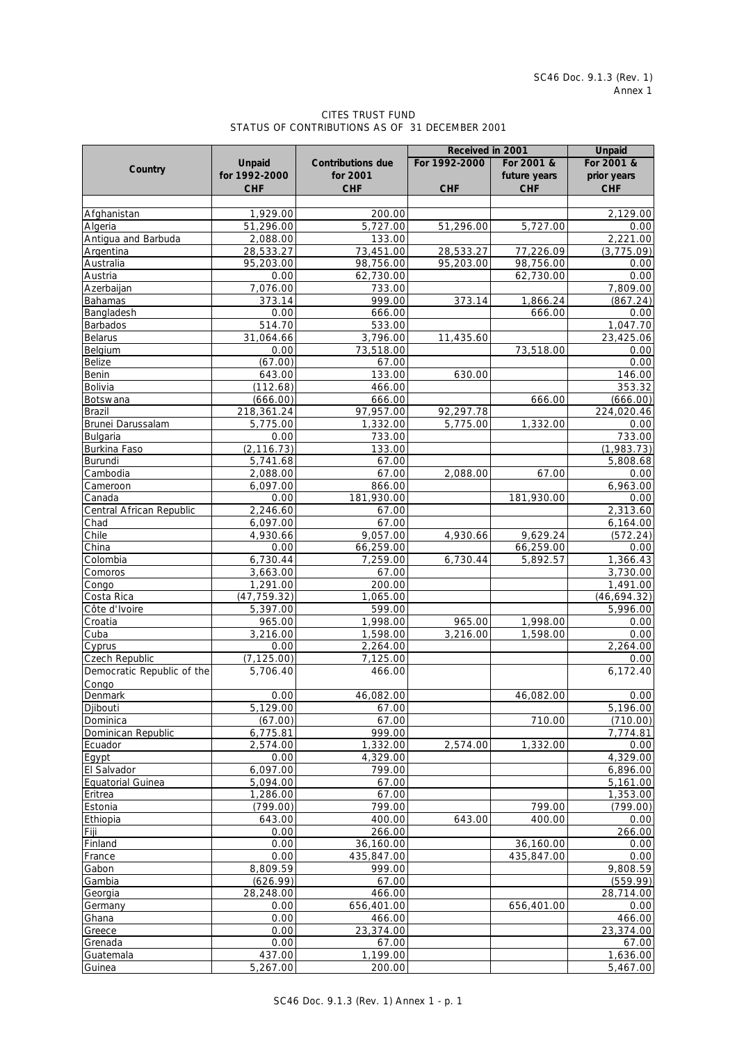## CITES TRUST FUND STATUS OF CONTRIBUTIONS AS OF 31 DECEMBER 2001

|                            |                          |                          | Received in 2001 |                       | <b>Unpaid</b>                         |
|----------------------------|--------------------------|--------------------------|------------------|-----------------------|---------------------------------------|
|                            | <b>Unpaid</b>            | <b>Contributions due</b> | For 1992-2000    | For 2001 &            | For 2001 &                            |
| Country                    | for 1992-2000            | for 2001                 |                  | future years          | prior years                           |
|                            | <b>CHF</b>               | <b>CHF</b>               | <b>CHF</b>       | <b>CHF</b>            | <b>CHF</b>                            |
|                            |                          |                          |                  |                       |                                       |
| Afghanistan                | 1,929.00                 | 200.00                   |                  |                       | 2,129.00                              |
| Algeria                    | 51,296.00                | 5,727.00                 | 51,296.00        | 5,727.00              | 0.00                                  |
| Antigua and Barbuda        | 2,088.00                 | 133.00                   |                  |                       | 2,221.00                              |
| Argentina                  | 28,533.27                | 73,451.00                | 28,533.27        | 77,226.09             | (3,775.09)                            |
| Australia                  | 95,203.00                | 98,756.00                | 95,203.00        | 98,756.00             | 0.00                                  |
| Austria                    | 0.00                     | 62,730.00                |                  | 62,730.00             | 0.00                                  |
| Azerbaijan                 | 7,076.00                 | 733.00                   |                  |                       | 7,809.00                              |
| Bahamas                    | 373.14                   | 999.00                   | 373.14           | 1,866.24              | (867.24)                              |
| Bangladesh                 | 0.00                     | 666.00                   |                  | 666.00                | 0.00                                  |
| Barbados                   | 514.70                   | 533.00                   |                  |                       | 1,047.70                              |
| Belarus                    | 31,064.66                | 3,796.00                 | 11,435.60        |                       | 23,425.06                             |
| Belgium                    | 0.00                     | 73,518.00                |                  | 73,518.00             | 0.00                                  |
| <b>Belize</b>              | (67.00)                  | 67.00                    |                  |                       | 0.00                                  |
| Benin                      | 643.00                   | 133.00                   | 630.00           |                       | 146.00                                |
| Bolivia                    | (112.68)                 | 466.00                   |                  |                       | 353.32                                |
| Botswana                   | (666.00)                 | 666.00                   |                  | 666.00                | (666.00)                              |
| Brazil                     | 218,361.24               | 97,957.00                | 92,297.78        |                       | 224,020.46                            |
| Brunei Darussalam          | 5,775.00                 | 1,332.00                 | 5,775.00         | 1,332.00              | 0.00                                  |
| Bulgaria                   | 0.00                     | 733.00                   |                  |                       | $\overline{733.00}$                   |
| Burkina Faso               | (2, 116.73)              | 133.00                   |                  |                       | (1,983.73)                            |
| <b>Burundi</b>             | 5,741.68                 | 67.00                    |                  |                       | 5,808.68                              |
| Cambodia                   | 2,088.00                 | 67.00                    | 2,088.00         | 67.00                 | 0.00                                  |
| Cameroon                   | 6,097.00                 | 866.00                   |                  |                       | 6,963.00                              |
| Canada                     | 0.00                     | 181,930.00               |                  | 181,930.00            | 0.00                                  |
| Central African Republic   | 2,246.60                 | 67.00                    |                  |                       | 2,313.60                              |
| Chad                       | 6,097.00                 | 67.00                    |                  |                       | 6,164.00                              |
| Chile                      | 4,930.66                 | 9,057.00                 | 4,930.66         | 9,629.24              | (572.24)                              |
| China                      | 0.00                     | 66,259.00                |                  |                       | 0.00                                  |
| Colombia                   | 6,730.44                 | 7,259.00                 | 6,730.44         | 66,259.00<br>5,892.57 | 1,366.43                              |
| Comoros                    | 3,663.00                 | 67.00                    |                  |                       | 3,730.00                              |
|                            |                          | 200.00                   |                  |                       | 1,491.00                              |
| Congo<br>Costa Rica        | 1,291.00                 |                          |                  |                       |                                       |
|                            | (47, 759.32)<br>5,397.00 | 1,065.00<br>599.00       |                  |                       | (46, 694.32)<br>$\overline{5,99}6.00$ |
| Côte d'Ivoire              |                          |                          |                  |                       |                                       |
| Croatia                    | 965.00                   | 1,998.00                 | 965.00           | 1,998.00<br>1,598.00  | 0.00                                  |
| Cuba                       | 3,216.00                 | 1,598.00                 | 3,216.00         |                       | 0.00<br>2,264.00                      |
| Cyprus<br>Czech Republic   | 0.00                     | 2,264.00                 |                  |                       | 0.00                                  |
|                            | (7, 125.00)              | 7,125.00                 |                  |                       |                                       |
| Democratic Republic of the | 5,706.40                 | 466.00                   |                  |                       | 6,172.40                              |
| Congo<br>Denmark           |                          |                          |                  |                       |                                       |
|                            | 0.00                     | 46,082.00                |                  | 46,082.00             | 0.00                                  |
| Djibouti                   | 5,129.00                 | 67.00                    |                  |                       | 5,196.00                              |
| Dominica                   | (67.00)                  | 67.00<br>999.00          |                  | 710.00                | (710.00)                              |
| Dominican Republic         | 6,775.81                 | 1,332.00                 |                  |                       | 7,774.81                              |
| Ecuador                    | 2,574.00                 |                          | 2,574.00         | 1,332.00              | 0.00<br>4,329.00                      |
| Egypt                      | 0.00                     | 4,329.00                 |                  |                       |                                       |
| El Salvador                | 6,097.00                 | 799.00                   |                  |                       | 6,896.00                              |
| <b>Equatorial Guinea</b>   | 5,094.00                 | 67.00                    |                  |                       | 5,161.00                              |
| Eritrea                    | 1,286.00                 | 67.00                    |                  |                       | 1,353.00                              |
| Estonia                    | (799.00)                 | 799.00                   |                  | 799.00                | (799.00)                              |
| Ethiopia                   | 643.00                   | 400.00                   | 643.00           | 400.00                | 0.00                                  |
| Fiji                       | 0.00                     | 266.00                   |                  |                       | 266.00                                |
| Finland                    | 0.00                     | 36,160.00                |                  | 36,160.00             | 0.00                                  |
| France                     | 0.00                     | 435,847.00               |                  | 435,847.00            | 0.00                                  |
| Gabon                      | 8,809.59                 | 999.00                   |                  |                       | 9,808.59                              |
| Gambia                     | (626.99)                 | 67.00                    |                  |                       | (559.99)                              |
| Georgia                    | 28,248.00                | 466.00                   |                  |                       | 28,714.00                             |
| Germany                    | 0.00                     | 656,401.00               |                  | 656,401.00            | 0.00                                  |
| Ghana                      | 0.00                     | 466.00                   |                  |                       | 466.00                                |
| Greece                     | 0.00                     | 23,374.00                |                  |                       | 23,374.00                             |
| Grenada                    | 0.00                     | 67.00                    |                  |                       | 67.00                                 |
| Guatemala                  | 437.00                   | 1,199.00                 |                  |                       | 1,636.00                              |
| Guinea                     | 5,267.00                 | 200.00                   |                  |                       | 5,467.00                              |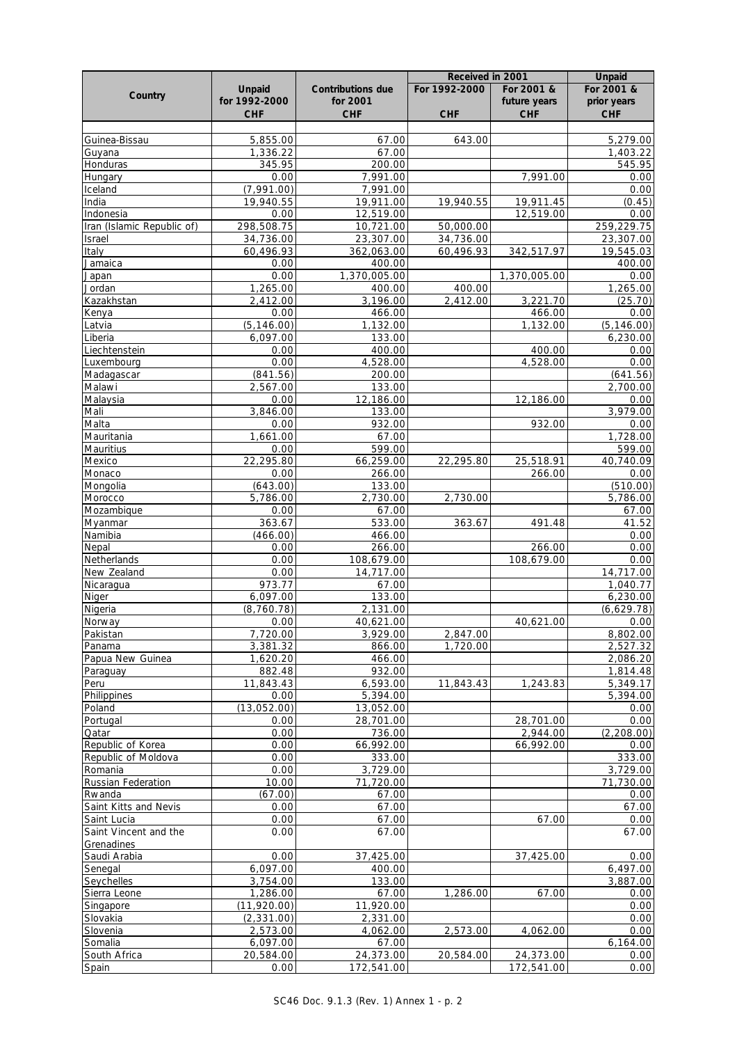|                            |                         |                          | Received in 2001 |              | <b>Unpaid</b>           |
|----------------------------|-------------------------|--------------------------|------------------|--------------|-------------------------|
| Country                    | Unpaid                  | <b>Contributions due</b> | For 1992-2000    | For 2001 &   | For 2001 &              |
|                            | for 1992-2000           | for 2001                 |                  | future years | prior years             |
|                            | <b>CHF</b>              | <b>CHF</b>               | <b>CHF</b>       | <b>CHF</b>   | <b>CHF</b>              |
|                            |                         |                          |                  |              |                         |
| Guinea-Bissau              | 5,855.00                | 67.00                    | 643.00           |              | 5,279.00                |
| Guyana                     | 1,336.22<br>345.95      | 67.00                    |                  |              | 1,403.22<br>545.95      |
| Honduras<br>Hungary        | 0.00                    | 200.00<br>7,991.00       |                  | 7,991.00     | 0.00                    |
| Iceland                    | (7,991.00)              | 7,991.00                 |                  |              | 0.00                    |
| India                      | 19,940.55               | 19,911.00                | 19,940.55        | 19,911.45    | (0.45)                  |
| Indonesia                  | 0.00                    | 12,519.00                |                  | 12,519.00    | 0.00                    |
| Iran (Islamic Republic of) | 298,508.75              | 10,721.00                | 50,000.00        |              | 259,229.75              |
| Israel                     | 34,736.00               | 23,307.00                | 34,736.00        |              | 23,307.00               |
| Italy                      | 60,496.93               | 362,063.00               | 60,496.93        | 342,517.97   | 19,545.03               |
| Jamaica                    | 0.00                    | 400.00                   |                  |              | 400.00                  |
| Japan                      | 0.00                    | 1,370,005.00             |                  | 1,370,005.00 | 0.00                    |
| Jordan                     | 1,265.00                | 400.00                   | 400.00           |              | 1,265.00                |
| Kazakhstan                 | 2,412.00                | 3,196.00                 | 2,412.00         | 3,221.70     | (25.70)                 |
| Kenya                      | 0.00                    | 466.00                   |                  | 466.00       | 0.00                    |
| Latvia<br>Liberia          | (5, 146.00)<br>6,097.00 | 1,132.00<br>133.00       |                  | 1,132.00     | (5, 146.00)<br>6,230.00 |
| Liechtenstein              | 0.00                    | 400.00                   |                  | 400.00       | 0.00                    |
| Luxembourg                 | 0.00                    | 4,528.00                 |                  | 4,528.00     | 0.00                    |
| Madagascar                 | (841.56)                | 200.00                   |                  |              | (641.56)                |
| Malawi                     | 2,567.00                | 133.00                   |                  |              | 2,700.00                |
| Malaysia                   | 0.00                    | 12,186.00                |                  | 12,186.00    | 0.00                    |
| Mali                       | 3,846.00                | 133.00                   |                  |              | 3,979.00                |
| Malta                      | 0.00                    | 932.00                   |                  | 932.00       | 0.00                    |
| Mauritania                 | 1,661.00                | 67.00                    |                  |              | 1,728.00                |
| Mauritius                  | 0.00                    | 599.00                   |                  |              | 599.00                  |
| Mexico                     | 22,295.80               | 66,259.00                | 22,295.80        | 25,518.91    | 40,740.09               |
| Monaco                     | 0.00                    | 266.00                   |                  | 266.00       | 0.00                    |
| Mongolia                   | (643.00)                | 133.00                   |                  |              | (510.00)                |
| Morocco                    | 5,786.00                | 2,730.00                 | 2,730.00         |              | 5,786.00                |
| Mozambique<br>Myanmar      | 0.00<br>363.67          | 67.00<br>533.00          | 363.67           | 491.48       | 67.00<br>41.52          |
| Namibia                    | (466.00)                | 466.00                   |                  |              | 0.00                    |
| Nepal                      | 0.00                    | 266.00                   |                  | 266.00       | 0.00                    |
| Netherlands                | 0.00                    | 108,679.00               |                  | 108,679.00   | 0.00                    |
| New Zealand                | 0.00                    | 14,717.00                |                  |              | 14,717.00               |
| Nicaragua                  | 973.77                  | 67.00                    |                  |              | 1,040.77                |
| Niger                      | 6,097.00                | 133.00                   |                  |              | 6,230.00                |
| Nigeria                    | (8,760.78)              | 2,131.00                 |                  |              | (6,629.78)              |
| Norway                     | 0.00                    | 40,621.00                |                  | 40,621.00    | 0.00                    |
| Pakistan                   | 7,720.00                | 3,929.00                 | 2,847.00         |              | 8,802.00                |
| Panama                     | 3,381.32                | 866.00                   | 1,720.00         |              | 2,527.32                |
| Papua New Guinea           | 1,620.20                | 466.00                   |                  |              | 2,086.20                |
| Paraguay                   | 882.48                  | 932.00<br>6,593.00       |                  |              | 1,814.48                |
| Peru<br>Philippines        | 11,843.43<br>0.00       | 5,394.00                 | 11,843.43        | 1,243.83     | 5,349.17<br>5,394.00    |
| Poland                     | (13,052.00)             | 13,052.00                |                  |              | 0.00                    |
| Portugal                   | 0.00                    | 28,701.00                |                  | 28,701.00    | 0.00                    |
| Qatar                      | 0.00                    | 736.00                   |                  | 2,944.00     | (2,208.00)              |
| Republic of Korea          | 0.00                    | 66,992.00                |                  | 66,992.00    | 0.00                    |
| Republic of Moldova        | 0.00                    | 333.00                   |                  |              | 333.00                  |
| Romania                    | 0.00                    | 3,729.00                 |                  |              | 3,729.00                |
| Russian Federation         | 10.00                   | 71,720.00                |                  |              | 71,730.00               |
| Rwanda                     | (67.00)                 | 67.00                    |                  |              | 0.00                    |
| Saint Kitts and Nevis      | 0.00                    | 67.00                    |                  |              | 67.00                   |
| Saint Lucia                | 0.00                    | 67.00                    |                  | 67.00        | 0.00                    |
| Saint Vincent and the      | 0.00                    | 67.00                    |                  |              | 67.00                   |
| Grenadines                 |                         |                          |                  |              |                         |
| Saudi Arabia               | 0.00                    | 37,425.00                |                  | 37,425.00    | 0.00                    |
| Senegal<br>Seychelles      | 6,097.00<br>3,754.00    | 400.00<br>133.00         |                  |              | 6,497.00<br>3,887.00    |
| Sierra Leone               | 1,286.00                | 67.00                    | 1,286.00         | 67.00        | 0.00                    |
| Singapore                  | (11,920.00)             | 11,920.00                |                  |              | 0.00                    |
| Slovakia                   | (2, 331.00)             | 2,331.00                 |                  |              | 0.00                    |
| Slovenia                   | 2,573.00                | 4,062.00                 | 2,573.00         | 4,062.00     | 0.00                    |
| Somalia                    | 6,097.00                | 67.00                    |                  |              | 6,164.00                |
| South Africa               | 20,584.00               | 24,373.00                | 20,584.00        | 24,373.00    | 0.00                    |
| Spain                      | 0.00                    | 172,541.00               |                  | 172,541.00   | 0.00                    |